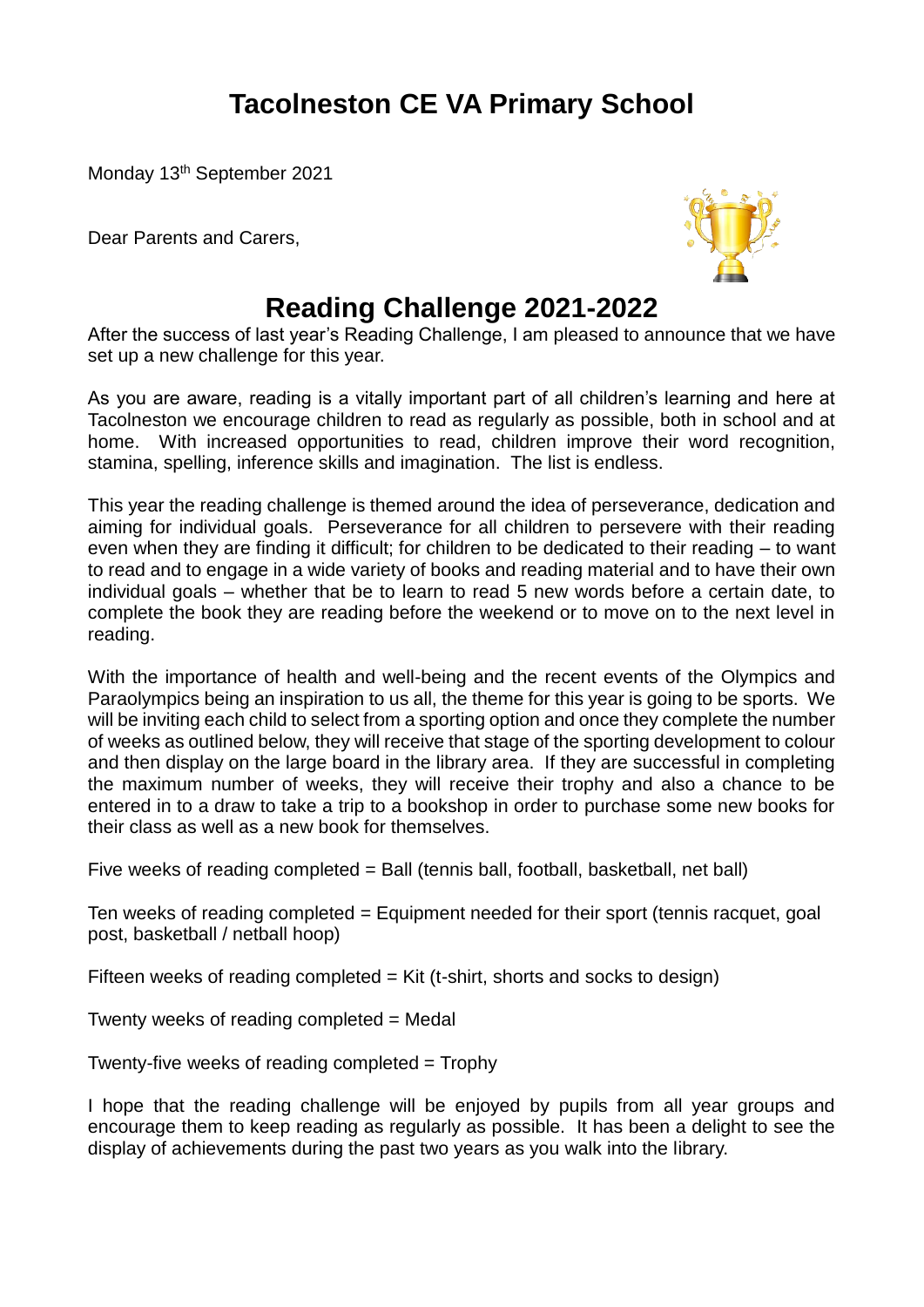# **Tacolneston CE VA Primary School**

Monday 13th September 2021

Dear Parents and Carers,



# **Reading Challenge 2021-2022**

After the success of last year's Reading Challenge, I am pleased to announce that we have set up a new challenge for this year.

As you are aware, reading is a vitally important part of all children's learning and here at Tacolneston we encourage children to read as regularly as possible, both in school and at home. With increased opportunities to read, children improve their word recognition, stamina, spelling, inference skills and imagination. The list is endless.

This year the reading challenge is themed around the idea of perseverance, dedication and aiming for individual goals. Perseverance for all children to persevere with their reading even when they are finding it difficult; for children to be dedicated to their reading – to want to read and to engage in a wide variety of books and reading material and to have their own individual goals – whether that be to learn to read 5 new words before a certain date, to complete the book they are reading before the weekend or to move on to the next level in reading.

With the importance of health and well-being and the recent events of the Olympics and Paraolympics being an inspiration to us all, the theme for this year is going to be sports. We will be inviting each child to select from a sporting option and once they complete the number of weeks as outlined below, they will receive that stage of the sporting development to colour and then display on the large board in the library area. If they are successful in completing the maximum number of weeks, they will receive their trophy and also a chance to be entered in to a draw to take a trip to a bookshop in order to purchase some new books for their class as well as a new book for themselves.

Five weeks of reading completed = Ball (tennis ball, football, basketball, net ball)

Ten weeks of reading completed = Equipment needed for their sport (tennis racquet, goal post, basketball / netball hoop)

Fifteen weeks of reading completed  $=$  Kit (t-shirt, shorts and socks to design)

Twenty weeks of reading completed = Medal

Twenty-five weeks of reading completed  $=$  Trophy

I hope that the reading challenge will be enjoyed by pupils from all year groups and encourage them to keep reading as regularly as possible. It has been a delight to see the display of achievements during the past two years as you walk into the library.